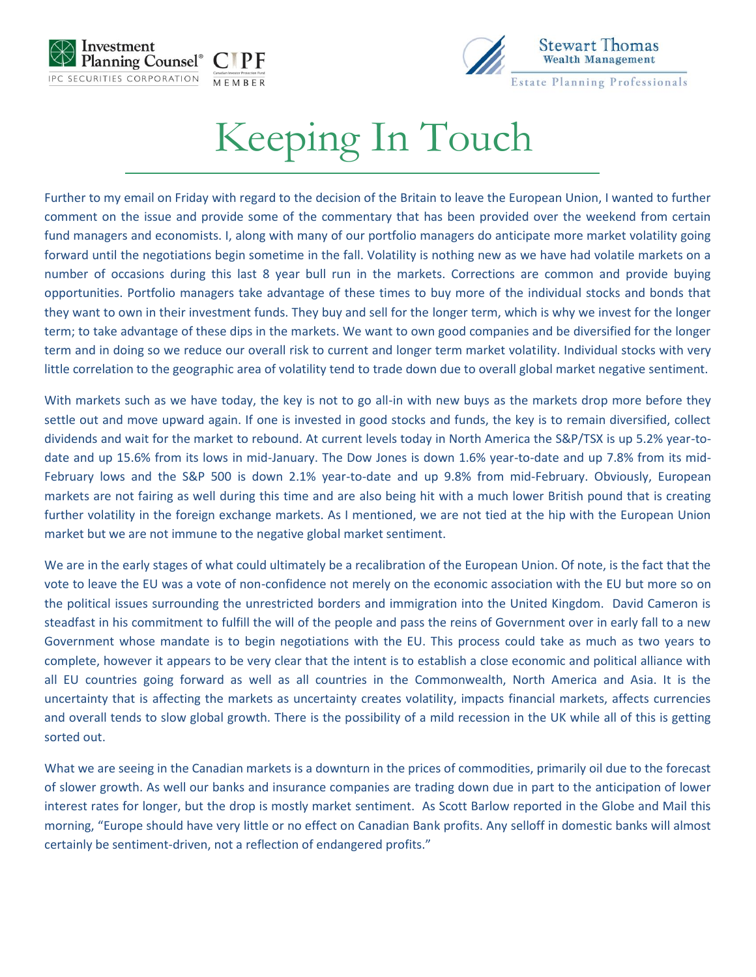



## Keeping In Touch

Further to my email on Friday with regard to the decision of the Britain to leave the European Union, I wanted to further comment on the issue and provide some of the commentary that has been provided over the weekend from certain fund managers and economists. I, along with many of our portfolio managers do anticipate more market volatility going forward until the negotiations begin sometime in the fall. Volatility is nothing new as we have had volatile markets on a number of occasions during this last 8 year bull run in the markets. Corrections are common and provide buying opportunities. Portfolio managers take advantage of these times to buy more of the individual stocks and bonds that they want to own in their investment funds. They buy and sell for the longer term, which is why we invest for the longer term; to take advantage of these dips in the markets. We want to own good companies and be diversified for the longer term and in doing so we reduce our overall risk to current and longer term market volatility. Individual stocks with very little correlation to the geographic area of volatility tend to trade down due to overall global market negative sentiment.

With markets such as we have today, the key is not to go all-in with new buys as the markets drop more before they settle out and move upward again. If one is invested in good stocks and funds, the key is to remain diversified, collect dividends and wait for the market to rebound. At current levels today in North America the S&P/TSX is up 5.2% year-todate and up 15.6% from its lows in mid-January. The Dow Jones is down 1.6% year-to-date and up 7.8% from its mid-February lows and the S&P 500 is down 2.1% year-to-date and up 9.8% from mid-February. Obviously, European markets are not fairing as well during this time and are also being hit with a much lower British pound that is creating further volatility in the foreign exchange markets. As I mentioned, we are not tied at the hip with the European Union market but we are not immune to the negative global market sentiment.

We are in the early stages of what could ultimately be a recalibration of the European Union. Of note, is the fact that the vote to leave the EU was a vote of non-confidence not merely on the economic association with the EU but more so on the political issues surrounding the unrestricted borders and immigration into the United Kingdom. David Cameron is steadfast in his commitment to fulfill the will of the people and pass the reins of Government over in early fall to a new Government whose mandate is to begin negotiations with the EU. This process could take as much as two years to complete, however it appears to be very clear that the intent is to establish a close economic and political alliance with all EU countries going forward as well as all countries in the Commonwealth, North America and Asia. It is the uncertainty that is affecting the markets as uncertainty creates volatility, impacts financial markets, affects currencies and overall tends to slow global growth. There is the possibility of a mild recession in the UK while all of this is getting sorted out.

What we are seeing in the Canadian markets is a downturn in the prices of commodities, primarily oil due to the forecast of slower growth. As well our banks and insurance companies are trading down due in part to the anticipation of lower interest rates for longer, but the drop is mostly market sentiment. As Scott Barlow reported in the Globe and Mail this morning, "Europe should have very little or no effect on Canadian Bank profits. Any selloff in domestic banks will almost certainly be sentiment-driven, not a reflection of endangered profits."